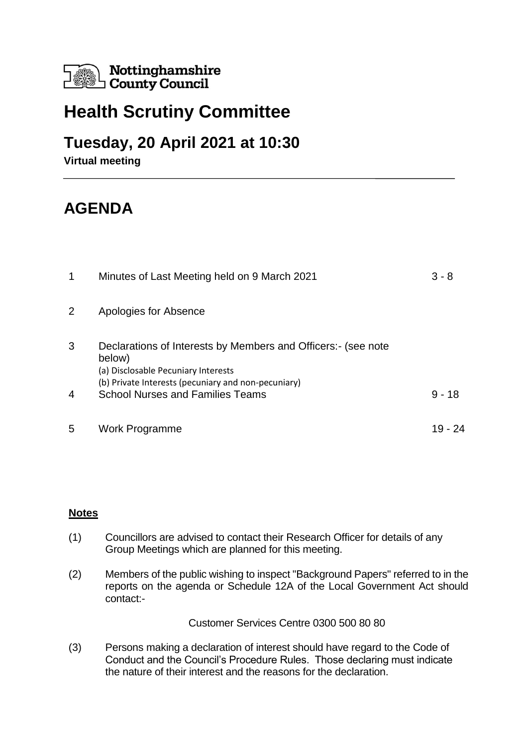

## **Health Scrutiny Committee**

## **Tuesday, 20 April 2021 at 10:30**

**Virtual meeting**

## **AGENDA**

| 1 | Minutes of Last Meeting held on 9 March 2021                                                                                                                         | $3 - 8$  |
|---|----------------------------------------------------------------------------------------------------------------------------------------------------------------------|----------|
| 2 | Apologies for Absence                                                                                                                                                |          |
| 3 | Declarations of Interests by Members and Officers: (see note<br>below)<br>(a) Disclosable Pecuniary Interests<br>(b) Private Interests (pecuniary and non-pecuniary) |          |
| 4 | <b>School Nurses and Families Teams</b>                                                                                                                              | $9 - 18$ |
| 5 | Work Programme                                                                                                                                                       |          |

## **Notes**

- (1) Councillors are advised to contact their Research Officer for details of any Group Meetings which are planned for this meeting.
- (2) Members of the public wishing to inspect "Background Papers" referred to in the reports on the agenda or Schedule 12A of the Local Government Act should contact:-

Customer Services Centre 0300 500 80 80

(3) Persons making a declaration of interest should have regard to the Code of Conduct and the Council's Procedure Rules. Those declaring must indicate the nature of their interest and the reasons for the declaration.